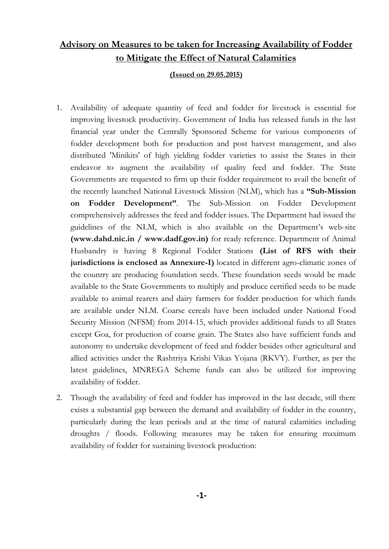# **Advisory on Measures to be taken for Increasing Availability of Fodder to Mitigate the Effect of Natural Calamities**

#### **(Issued on 29.05.2015)**

- 1. Availability of adequate quantity of feed and fodder for livestock is essential for improving livestock productivity. Government of India has released funds in the last financial year under the Centrally Sponsored Scheme for various components of fodder development both for production and post harvest management, and also distributed 'Minikits' of high yielding fodder varieties to assist the States in their endeavor to augment the availability of quality feed and fodder. The State Governments are requested to firm up their fodder requirement to avail the benefit of the recently launched National Livestock Mission (NLM), which has a **"Sub-Mission on Fodder Development"**. The Sub-Mission on Fodder Development comprehensively addresses the feed and fodder issues. The Department had issued the guidelines of the NLM, which is also available on the Department's web-site **(www.dahd.nic.in / www.dadf.gov.in)** for ready reference. Department of Animal Husbandry is having 8 Regional Fodder Stations **(List of RFS with their jurisdictions is enclosed as Annexure-I)** located in different agro-climatic zones of the country are producing foundation seeds. These foundation seeds would be made available to the State Governments to multiply and produce certified seeds to be made available to animal rearers and dairy farmers for fodder production for which funds are available under NLM. Coarse cereals have been included under National Food Security Mission (NFSM) from 2014-15, which provides additional funds to all States except Goa, for production of coarse grain. The States also have sufficient funds and autonomy to undertake development of feed and fodder besides other agricultural and allied activities under the Rashtriya Krishi Vikas Yojana (RKVY). Further, as per the latest guidelines, MNREGA Scheme funds can also be utilized for improving availability of fodder.
- 2. Though the availability of feed and fodder has improved in the last decade, still there exists a substantial gap between the demand and availability of fodder in the country, particularly during the lean periods and at the time of natural calamities including droughts / floods. Following measures may be taken for ensuring maximum availability of fodder for sustaining livestock production: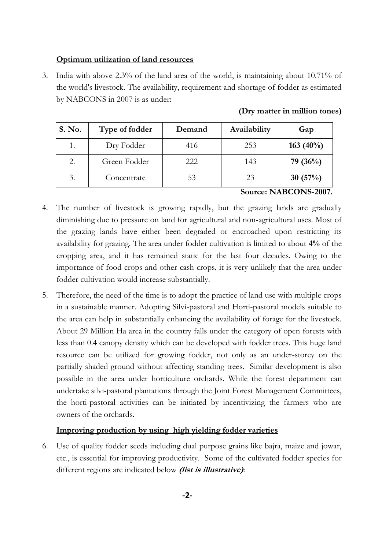#### **Optimum utilization of land resources**

3. India with above 2.3% of the land area of the world, is maintaining about 10.71% of the world's livestock. The availability, requirement and shortage of fodder as estimated by NABCONS in 2007 is as under:

| S. No. | Type of fodder | Demand | Availability | Gap          |
|--------|----------------|--------|--------------|--------------|
|        | Dry Fodder     | 416    | 253          | 163 $(40\%)$ |
| 2.     | Green Fodder   | 222    | 143          | 79 $(36\%)$  |
| 3.     | Concentrate    | 53     | 23           | 30 $(57%)$   |

#### **(Dry matter in million tones)**

**Source: NABCONS-2007.**

- 4. The number of livestock is growing rapidly, but the grazing lands are gradually diminishing due to pressure on land for agricultural and non-agricultural uses. Most of the grazing lands have either been degraded or encroached upon restricting its availability for grazing. The area under fodder cultivation is limited to about **4%** of the cropping area, and it has remained static for the last four decades. Owing to the importance of food crops and other cash crops, it is very unlikely that the area under fodder cultivation would increase substantially.
- 5. Therefore, the need of the time is to adopt the practice of land use with multiple crops in a sustainable manner. Adopting Silvi-pastoral and Horti-pastoral models suitable to the area can help in substantially enhancing the availability of forage for the livestock. About 29 Million Ha area in the country falls under the category of open forests with less than 0.4 canopy density which can be developed with fodder trees. This huge land resource can be utilized for growing fodder, not only as an under-storey on the partially shaded ground without affecting standing trees. Similar development is also possible in the area under horticulture orchards. While the forest department can undertake silvi-pastoral plantations through the Joint Forest Management Committees, the horti-pastoral activities can be initiated by incentivizing the farmers who are owners of the orchards.

#### **Improving production by using high yielding fodder varieties**

6. Use of quality fodder seeds including dual purpose grains like bajra, maize and jowar, etc., is essential for improving productivity. Some of the cultivated fodder species for different regions are indicated below **(list is illustrative)**: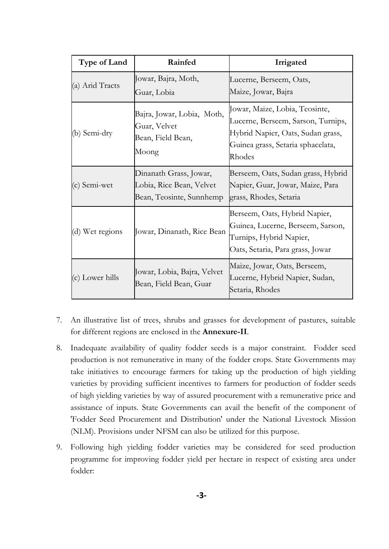| Type of Land                                                                                   | Rainfed                                               | Irrigated                                                                                                                                                |  |
|------------------------------------------------------------------------------------------------|-------------------------------------------------------|----------------------------------------------------------------------------------------------------------------------------------------------------------|--|
| (a) Arid Tracts                                                                                | Jowar, Bajra, Moth,<br>Guar, Lobia                    | Lucerne, Berseem, Oats,<br>Maize, Jowar, Bajra                                                                                                           |  |
| Bajra, Jowar, Lobia, Moth,<br>Guar, Velvet<br>(b) Semi-dry<br>Bean, Field Bean,<br>Moong       |                                                       | Jowar, Maize, Lobia, Teosinte,<br>Lucerne, Berseem, Sarson, Turnips,<br>Hybrid Napier, Oats, Sudan grass,<br>Guinea grass, Setaria sphacelata,<br>Rhodes |  |
| Dinanath Grass, Jowar,<br>Lobia, Rice Bean, Velvet<br>(c) Semi-wet<br>Bean, Teosinte, Sunnhemp |                                                       | Berseem, Oats, Sudan grass, Hybrid<br>Napier, Guar, Jowar, Maize, Para<br>grass, Rhodes, Setaria                                                         |  |
| (d) Wet regions<br>Jowar, Dinanath, Rice Bean                                                  |                                                       | Berseem, Oats, Hybrid Napier,<br>Guinea, Lucerne, Berseem, Sarson,<br>Turnips, Hybrid Napier,<br>Oats, Setaria, Para grass, Jowar                        |  |
| (c) Lower hills                                                                                | Jowar, Lobia, Bajra, Velvet<br>Bean, Field Bean, Guar | Maize, Jowar, Oats, Berseem,<br>Lucerne, Hybrid Napier, Sudan,<br>Setaria, Rhodes                                                                        |  |

- 7. An illustrative list of trees, shrubs and grasses for development of pastures, suitable for different regions are enclosed in the **Annexure-II**.
- 8. Inadequate availability of quality fodder seeds is a major constraint. Fodder seed production is not remunerative in many of the fodder crops. State Governments may take initiatives to encourage farmers for taking up the production of high yielding varieties by providing sufficient incentives to farmers for production of fodder seeds of high yielding varieties by way of assured procurement with a remunerative price and assistance of inputs. State Governments can avail the benefit of the component of 'Fodder Seed Procurement and Distribution' under the National Livestock Mission (NLM). Provisions under NFSM can also be utilized for this purpose.
- 9. Following high yielding fodder varieties may be considered for seed production programme for improving fodder yield per hectare in respect of existing area under fodder: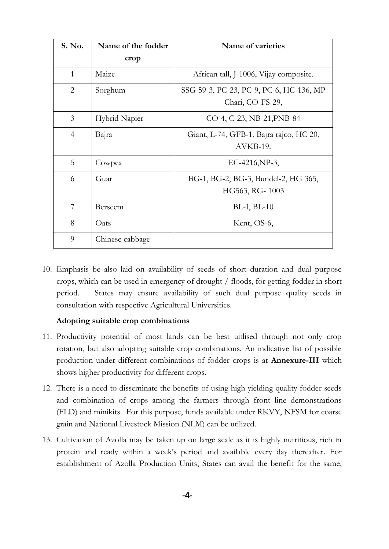| S. No.         | Name of the fodder | Name of varieties                       |
|----------------|--------------------|-----------------------------------------|
|                | crop               |                                         |
| $\mathbf{1}$   | Maize              | African tall, J-1006, Vijay composite.  |
| $\overline{2}$ | Sorghum            | SSG 59-3, PC-23, PC-9, PC-6, HC-136, MP |
|                |                    | Chari, CO-FS-29,                        |
| 3              | Hybrid Napier      | CO-4, C-23, NB-21, PNB-84               |
| $\overline{4}$ | Bajra              | Giant, L-74, GFB-1, Bajra rajco, HC 20, |
|                |                    | AVKB-19.                                |
| 5              | Cowpea             | EC-4216, NP-3,                          |
| 6              | Guar               | BG-1, BG-2, BG-3, Bundel-2, HG 365,     |
|                |                    | HG563, RG-1003                          |
| 7              | Berseem            | $BL-I, BL-10$                           |
| 8              | Oats               | Kent, OS-6,                             |
| 9              | Chinese cabbage    |                                         |

10. Emphasis be also laid on availability of seeds of short duration and dual purpose crops, which can be used in emergency of drought / floods, for getting fodder in short period. States may ensure availability of such dual purpose quality seeds in consultation with respective Agricultural Universities.

#### **Adopting suitable crop combinations**

- 11. Productivity potential of most lands can be best uitlised through not only crop rotation, but also adopting suitable crop combinations. An indicative list of possible production under different combinations of fodder crops is at **Annexure-III** which shows higher productivity for different crops.
- 12. There is a need to disseminate the benefits of using high yielding quality fodder seeds and combination of crops among the farmers through front line demonstrations (FLD) and minikits. For this purpose, funds available under RKVY, NFSM for coarse grain and National Livestock Mission (NLM) can be utilized.
- 13. Cultivation of Azolla may be taken up on large scale as it is highly nutritious, rich in protein and ready within a week's period and available every day thereafter. For establishment of Azolla Production Units, States can avail the benefit for the same,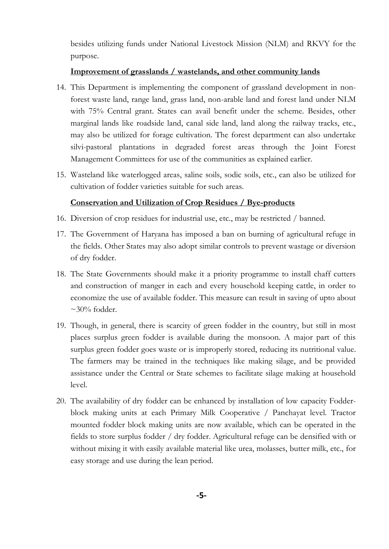besides utilizing funds under National Livestock Mission (NLM) and RKVY for the purpose.

#### **Improvement of grasslands / wastelands, and other community lands**

- 14. This Department is implementing the component of grassland development in nonforest waste land, range land, grass land, non-arable land and forest land under NLM with 75% Central grant. States can avail benefit under the scheme. Besides, other marginal lands like roadside land, canal side land, land along the railway tracks, etc., may also be utilized for forage cultivation. The forest department can also undertake silvi-pastoral plantations in degraded forest areas through the Joint Forest Management Committees for use of the communities as explained earlier.
- 15. Wasteland like waterlogged areas, saline soils, sodic soils, etc., can also be utilized for cultivation of fodder varieties suitable for such areas.

## **Conservation and Utilization of Crop Residues / Bye-products**

- 16. Diversion of crop residues for industrial use, etc., may be restricted / banned.
- 17. The Government of Haryana has imposed a ban on burning of agricultural refuge in the fields. Other States may also adopt similar controls to prevent wastage or diversion of dry fodder.
- 18. The State Governments should make it a priority programme to install chaff cutters and construction of manger in each and every household keeping cattle, in order to economize the use of available fodder. This measure can result in saving of upto about  $\sim$ 30% fodder.
- 19. Though, in general, there is scarcity of green fodder in the country, but still in most places surplus green fodder is available during the monsoon. A major part of this surplus green fodder goes waste or is improperly stored, reducing its nutritional value. The farmers may be trained in the techniques like making silage, and be provided assistance under the Central or State schemes to facilitate silage making at household level.
- 20. The availability of dry fodder can be enhanced by installation of low capacity Fodderblock making units at each Primary Milk Cooperative / Panchayat level. Tractor mounted fodder block making units are now available, which can be operated in the fields to store surplus fodder / dry fodder. Agricultural refuge can be densified with or without mixing it with easily available material like urea, molasses, butter milk, etc., for easy storage and use during the lean period.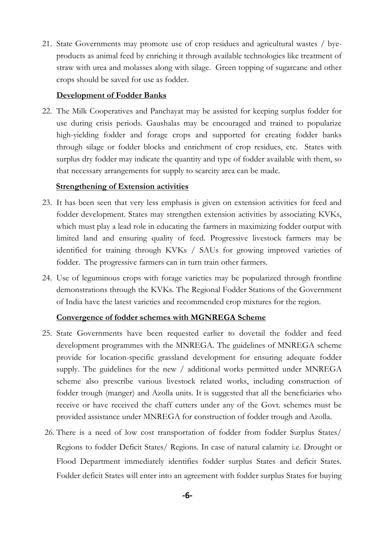21. State Governments may promote use of crop residues and agricultural wastes / byeproducts as animal feed by enriching it through available technologies like treatment of straw with urea and molasses along with silage. Green topping of sugarcane and other crops should be saved for use as fodder.

### **Development of Fodder Banks**

22. The Milk Cooperatives and Panchayat may be assisted for keeping surplus fodder for use during crisis periods. Gaushalas may be encouraged and trained to popularize high-yielding fodder and forage crops and supported for creating fodder banks through silage or fodder blocks and enrichment of crop residues, etc. States with surplus dry fodder may indicate the quantity and type of fodder available with them, so that necessary arrangements for supply to scarcity area can be made.

#### **Strengthening of Extension activities**

- 23. It has been seen that very less emphasis is given on extension activities for feed and fodder development. States may strengthen extension activities by associating KVKs, which must play a lead role in educating the farmers in maximizing fodder output with limited land and ensuring quality of feed. Progressive livestock farmers may be identified for training through KVKs / SAUs for growing improved varieties of fodder. The progressive farmers can in turn train other farmers.
- 24. Use of leguminous crops with forage varieties may be popularized through frontline demonstrations through the KVKs. The Regional Fodder Stations of the Government of India have the latest varieties and recommended crop mixtures for the region.

#### **Convergence of fodder schemes with MGNREGA Scheme**

- 25. State Governments have been requested earlier to dovetail the fodder and feed development programmes with the MNREGA. The guidelines of MNREGA scheme provide for location-specific grassland development for ensuring adequate fodder supply. The guidelines for the new / additional works permitted under MNREGA scheme also prescribe various livestock related works, including construction of fodder trough (manger) and Azolla units. It is suggested that all the beneficiaries who receive or have received the chaff cutters under any of the Govt. schemes must be provided assistance under MNREGA for construction of fodder trough and Azolla.
- 26. There is a need of low cost transportation of fodder from fodder Surplus States/ Regions to fodder Deficit States/ Regions. In case of natural calamity i.e. Drought or Flood Department immediately identifies fodder surplus States and deficit States. Fodder deficit States will enter into an agreement with fodder surplus States for buying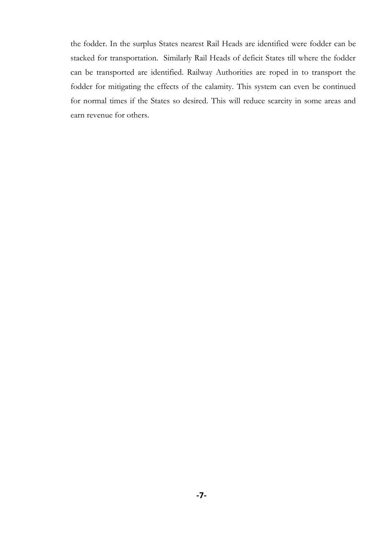the fodder. In the surplus States nearest Rail Heads are identified were fodder can be stacked for transportation. Similarly Rail Heads of deficit States till where the fodder can be transported are identified. Railway Authorities are roped in to transport the fodder for mitigating the effects of the calamity. This system can even be continued for normal times if the States so desired. This will reduce scarcity in some areas and earn revenue for others.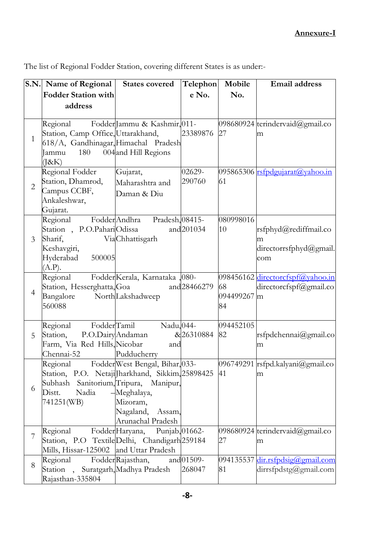**S.N. Name of Regional Fodder Station with address States covered Telephon e No. Mobile No. Email address** 1 Regional Station, Camp Office, Uttarakhand, 618/A, Gandhinagar, Himachal Pradesh  $I$ ammu  $180$ (J&K) Jammu & Kashmir,<mark>011-</mark> 004 and Hill Regions 23389876 27 098680924 terindervaid@gmail.co m 2 Regional Fodder Station, Dhamrod, Campus CCBF, Ankaleshwar, Gujarat. Gujarat, Maharashtra and Daman & Diu 02629- 290760 095865306 <u>[rsfpdgujarat@yahoo.in](mailto:rsfpdgujarat@yahoo.in)</u> 61 3 Regional Fodder Andhra Station , P.O.PahariOdissa and and Sharif, Keshavgiri, Hyderabad 500005  $(A.P).$ Andhra Pradesh, 08415- **Via**Chhattisgarh and 201034 080998016 10 [rsfphyd@rediffmail.co](mailto:rsfphyd@rediffmail.com) [m](mailto:rsfphyd@rediffmail.com) [directorrsfphyd@gmail.](mailto:directorrsfphyd@gmail.co) [com](mailto:directorrsfphyd@gmail.co) 4 Regional Station, Hesserghatta,Goa and' Bangalore 560088 Fodder Kerala, Karnataka North*Lakshadweep* 080 and 28466279 098456162 [directorcfspf@yahoo.in](mailto:directorcfspf@yahoo.in) 68 094499267 m 84 directorcfspf@gmail.co 5 Regional FodderTamil Station, P.O.Dairy|Andaman & Farm, Via Red Hills, Nicobar and Chennai-52 Tamil Nadu, 044-Pudducherry &26310884 094452105 82 [rsfpdchennai@gmail.co](mailto:rsfpdchennai@gmail.com) [m](mailto:rsfpdchennai@gmail.com) 6 Regional Fodder West Bengal, Bihar, 033-Station, P.O. Netaji Jharkhand, Sikkim, 25898425 Subhash Sanitorium, Tripura, Manipur, Distt. Nadia 741251(WB) Meghalaya, Mizoram, Nagaland, Assam, Arunachal Pradesh 096749291 41 [rsfpd.kalyani@gmail.co](mailto:rsfpd.kalyani@gmail.com) [m](mailto:rsfpd.kalyani@gmail.com) 7 Regional Station, P.O Textile Delhi, Chandigarh 259184 Mills, Hissar-125002 and Uttar Pradesh FodderHaryana, Punjab, 01662-098680924 terindervaid@gmail.co 27 m 8 Regional Station , Suratgarh, Madhya Pradesh Rajasthan-335804 FodderRajasthan, and 01509-268047 094135537 [dir.rsfpdsig@gmail.com](mailto:dir.rsfpdsig@gmail.com) 81 dirrsfpdstg@gmail.com

The list of Regional Fodder Station, covering different States is as under:-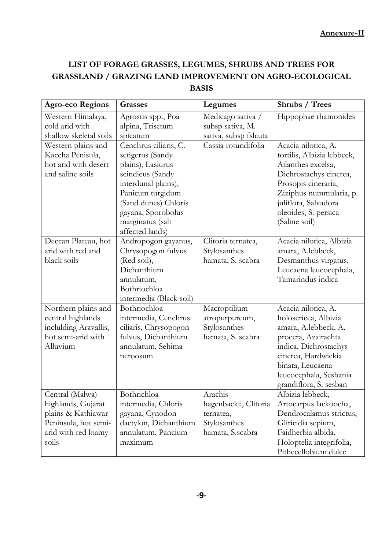# **LIST OF FORAGE GRASSES, LEGUMES, SHRUBS AND TREES FOR GRASSLAND / GRAZING LAND IMPROVEMENT ON AGRO-ECOLOGICAL BASIS**

| Agro-eco Regions                                                                                                    | <b>Grasses</b>                                                                                                                                                                                                     | Legumes                                                                           | Shrubs / Trees                                                                                                                                                                                                       |
|---------------------------------------------------------------------------------------------------------------------|--------------------------------------------------------------------------------------------------------------------------------------------------------------------------------------------------------------------|-----------------------------------------------------------------------------------|----------------------------------------------------------------------------------------------------------------------------------------------------------------------------------------------------------------------|
| Western Himalaya,<br>cold arid with<br>shallow skeletal soils                                                       | Agrostis spp., Poa<br>alpina, Trisetum<br>spicatum                                                                                                                                                                 | Medicago sativa /<br>subsp sativa, M.<br>sativa, subsp fslcuta                    | Hippophae rhamonides                                                                                                                                                                                                 |
| Western plains and<br>Kaccha Penisula,<br>hot arid with desert<br>and saline soils                                  | Cenchrus ciliaris, C.<br>setigerus (Sandy<br>plains), Lasiurus<br>scindicus (Sandy<br>interdunal plains),<br>Panicum turgidum<br>(Sand dunes) Chloris<br>gayana, Sporobolus<br>marginatus (salt<br>affected lands) | Cassia rotundifolia                                                               | Acacia nilotica, A.<br>tortilis, Albizia lebbeck,<br>Ailanthes excelsa,<br>Dichrostachys cinerea,<br>Prosopis cineraria,<br>Ziziphus nummularia, p.<br>juliflora, Salvadora<br>oleoides, S. persica<br>(Saline soil) |
| Deccan Plateau, hot<br>arid with red and<br>black soils                                                             | Andropogon gayanus,<br>Chrysopogon fulvus<br>(Red soil),<br>Dichanthium<br>annulatum,<br>Bothriochloa<br>intermedia (Black soil)                                                                                   | Clitoria ternatea,<br>Stylosanthes<br>hamata, S. scabra                           | Acacia nilotica, Albizia<br>amara, A.lebbeck,<br>Desmanthus virgatus,<br>Leucaena leucocephala,<br>Tamarindus indica                                                                                                 |
| Northern plains and<br>central highlands<br>inclulding Aravallis,<br>hot semi-arid with<br>Alluvium                 | Bothriochloa<br>intermedia, Cenchrus<br>ciliaris, Chrysopogon<br>fulvus, Dichanthium<br>annulatum, Sehima<br>neroosum                                                                                              | Macroptilium<br>atropurpureum,<br>Stylosanthes<br>hamata, S. scabra               | Acacia nilotica, A.<br>holosericea, Albizia<br>amara, A.lebbeck, A.<br>procera, Azairachta<br>indica, Dichrostachys<br>cinerea, Hardwickia<br>binata, Leucaena<br>leucocephala, Sesbania<br>grandiflora, S. sesban   |
| Central (Malwa)<br>highlands, Gujarat<br>plains & Kathiawar<br>Peninsula, hot semi-<br>arid with red loamy<br>soils | Bothrichloa<br>intermedia, Chloris<br>gayana, Cynodon<br>dactylon, Dichanthium<br>annulatum, Pancium<br>maximum                                                                                                    | Arachis<br>hagenbackii, Clitoria<br>ternatea,<br>Stylosanthes<br>hamata, S.scabra | Albizia lebbeck,<br>Artocarpus lackoocha,<br>Dendrocalamus strictus,<br>Gliricidia sepium,<br>Faidherbia albida,<br>Holoptelia integrifolia,<br>Pithecellobium dulce                                                 |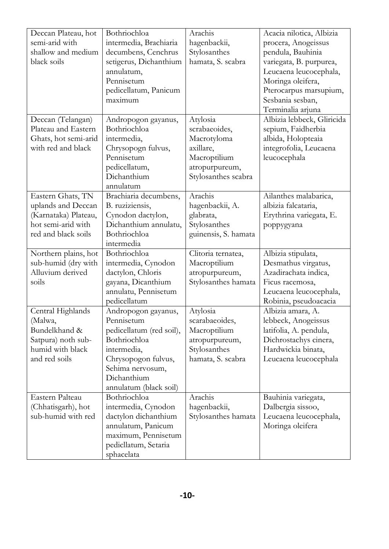| Deccan Plateau, hot<br>semi-arid with<br>shallow and medium<br>black soils                                   | Bothriochloa<br>intermedia, Brachiaria<br>decumbens, Cenchrus<br>setigerus, Dichanthium<br>annulatum,<br>Pennisetum<br>pedicellatum, Panicum<br>maximum                          | Arachis<br>hagenbackii,<br>Stylosanthes<br>hamata, S. scabra                                                   | Acacia nilotica, Albizia<br>procera, Anogeissus<br>pendula, Bauhinia<br>variegata, B. purpurea,<br>Leucaena leucocephala,<br>Moringa oleifera,<br>Pterocarpus marsupium,<br>Sesbania sesban,<br>Terminalia arjuna |
|--------------------------------------------------------------------------------------------------------------|----------------------------------------------------------------------------------------------------------------------------------------------------------------------------------|----------------------------------------------------------------------------------------------------------------|-------------------------------------------------------------------------------------------------------------------------------------------------------------------------------------------------------------------|
| Deccan (Telangan)<br>Plateau and Eastern<br>Ghats, hot semi-arid<br>with red and black                       | Andropogon gayanus,<br>Bothriochloa<br>intermedia,<br>Chrysopogn fulvus,<br>Pennisetum<br>pedicellatum,<br>Dichanthium<br>annulatum                                              | Atylosia<br>scrabaeoides,<br>Macrotyloma<br>axillare,<br>Macroptilium<br>atropurpureum,<br>Stylosanthes scabra | Albizia lebbeck, Gliricida<br>sepium, Faidherbia<br>albida, Holopteaia<br>integrofolia, Leucaena<br>leucocephala                                                                                                  |
| Eastern Ghats, TN<br>uplands and Deccan<br>(Karnataka) Plateau,<br>hot semi-arid with<br>red and black soils | Brachiaria decumbens,<br>B. ruziziensis,<br>Cynodon dactylon,<br>Dichanthium annulatu,<br>Bothriochloa<br>intermedia                                                             | Arachis<br>hagenbackii, A.<br>glabrata,<br>Stylosanthes<br>guinensis, S. hamata                                | Ailanthes malabarica,<br>albizia falcataria,<br>Erythrina variegata, E.<br>poppygyana                                                                                                                             |
| Northern plains, hot<br>sub-humid (dry with<br>Alluvium derived<br>soils                                     | Bothriochloa<br>intermedia, Cynodon<br>dactylon, Chloris<br>gayana, Dicanthium<br>annulatu, Pennisetum<br>pedicellatum                                                           | Clitoria ternatea,<br>Macroptilium<br>atropurpureum,<br>Stylosanthes hamata                                    | Albizia stipulata,<br>Desmathus virgatus,<br>Azadirachata indica,<br>Ficus racemosa,<br>Leucaena leucocephala,<br>Robinia, pseudoacacia                                                                           |
| Central Highlands<br>(Malwa,<br>Bundelkhand &<br>Satpura) noth sub-<br>humid with black<br>and red soils     | Andropogon gayanus,<br>Pennisetum<br>pedicellatum (red soil),<br>Bothriochloa<br>intermedia,<br>Chrysopogon fulvus,<br>Sehima nervosum,<br>Dichanthium<br>annulatum (black soil) | Atylosia<br>scarabaeoides,<br>Macroptilium<br>atropurpureum,<br>Stylosanthes<br>hamata, S. scabra              | Albizia amara, A.<br>lebbeck, Anogeissus<br>latifolia, A. pendula,<br>Dichrostachys cinera,<br>Hardwickia binata,<br>Leucaena leucocephala                                                                        |
| Eastern Palteau<br>(Chhatisgarh), hot<br>sub-humid with red                                                  | Bothriochloa<br>intermedia, Cynodon<br>dactylon dichanthium<br>annulatum, Panicum<br>maximum, Pennisetum<br>pedicllatum, Setaria<br>sphacelata                                   | Arachis<br>hagenbackii,<br>Stylosanthes hamata                                                                 | Bauhinia variegata,<br>Dalbergia sissoo,<br>Leucaena leucocephala,<br>Moringa oleifera                                                                                                                            |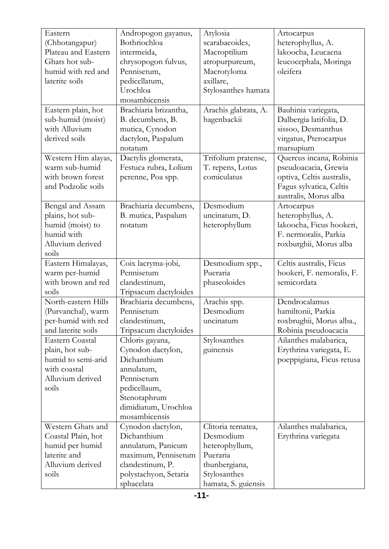| Eastern                               | Andropogon gayanus,                       | Atylosia                      | Artocarpus                |
|---------------------------------------|-------------------------------------------|-------------------------------|---------------------------|
| (Chhotangapur)                        | Bothriochloa                              | scarabaeoides,                | heterophyllus, A.         |
| Plateau and Eastern                   | intermeida,                               | Macroptilium                  | lakoocha, Leucaena        |
| Ghats hot sub-                        | chrysopogon fulvus,                       | atropurpureum,                | leucocephala, Moringa     |
| humid with red and                    | Pennisetum,                               | Macrotyloma                   | oleifera                  |
| laterite soils                        | pedicellatum,                             | axillare,                     |                           |
|                                       | Urochloa                                  | Stylosanthes hamata           |                           |
|                                       | mosambicensis                             |                               |                           |
| Eastern plain, hot                    | Brachiaria brizantha,                     | Arachis glabrata, A.          | Bauhinia variegata,       |
| sub-humid (moist)                     | B. decumbens, B.                          | hagenbackii                   | Dalbergia latifolia, D.   |
| with Alluvium                         | mutica, Cynodon                           |                               | sissoo, Desmanthus        |
| derived soils                         | dactylon, Paspalum                        |                               | virgatus, Pterocarpus     |
|                                       | notatum                                   |                               | marsupium                 |
| Western Him alayas,                   | Dactylis glomerata,                       | Trifolium pratense,           | Quercus incana, Robinia   |
| warm sub-humid                        | Festuca rubra, Lolium                     | T. repens, Lotus              | pseudoacacia, Grewia      |
| with brown forest                     | perenne, Poa spp.                         | comiculatus                   | optiva, Celtis australis, |
| and Podzolic soils                    |                                           |                               | Fagus sylvatica, Celtis   |
|                                       |                                           |                               | australis, Morus alba     |
| Bengal and Assam                      | Brachiaria decumbens,                     | Desmodium                     | Artocarpus                |
| plains, hot sub-                      | B. mutica, Paspalum                       | uncinatum, D.                 | heterophyllus, A.         |
| humid (moist) to                      | notatum                                   | heterophyllum                 | lakoocha, Ficus hookeri,  |
| humid with                            |                                           |                               | F. nermoralis, Parkia     |
| Alluvium derived                      |                                           |                               | roxburghii, Morus alba    |
| soils                                 |                                           |                               |                           |
| Eastern Himalayas,                    | Coix lacryma-jobi,                        | Desmodium spp.,               | Celtis australis, Ficus   |
| warm per-humid                        | Pennisetum                                | Pueraria                      | hookeri, F. nemoralis, F. |
| with brown and red                    | clandestinum,                             | phaseoloides                  | semicordata               |
| soils                                 | Tripsacum dactyloides                     |                               |                           |
| North-eastern Hills                   | Brachiaria decumbens,                     | Arachis spp.                  | Dendrocalamus             |
| (Purvanchal), warm                    | Pennisetum                                | Desmodium                     | hamiltonii, Parkia        |
| per-humid with red                    | clandestinum,                             | uncinatum                     | roxbrughii, Morus alba.,  |
| and laterite soils                    | Tripsacum dactyloides                     |                               | Robinia pseudoacacia      |
| Eastern Coastal                       | Chloris gayana,                           | Stylosanthes                  | Ailanthes malabarica,     |
| plain, hot sub-<br>humid to semi-arid | Cynodon dactylon,<br>Dichanthium          | guinensis                     | Erythrina variegata, E.   |
| with coastal                          | annulatum,                                |                               | poeppigiana, Ficus retusa |
| Alluvium derived                      | Pennisetum                                |                               |                           |
| soils                                 | pedicellaum,                              |                               |                           |
|                                       | Stenotaphrum                              |                               |                           |
|                                       | dimidiatum, Urochloa                      |                               |                           |
|                                       | mosambicensis                             |                               |                           |
| Western Ghats and                     | Cynodon dactylon,                         | Clitoria ternatea,            | Ailanthes malabarica,     |
| Coastal Plain, hot                    | Dichanthium                               | Desmodium                     | Erythrina variegata       |
| humid per humid                       | annulatum, Panicum                        | heterophyllum,                |                           |
| laterite and                          |                                           |                               |                           |
|                                       |                                           |                               |                           |
|                                       | maximum, Pennisetum                       | Pueraria                      |                           |
| Alluvium derived<br>soils             | clandestinum, P.<br>polystachyon, Setaria | thunbergiana,<br>Stylosanthes |                           |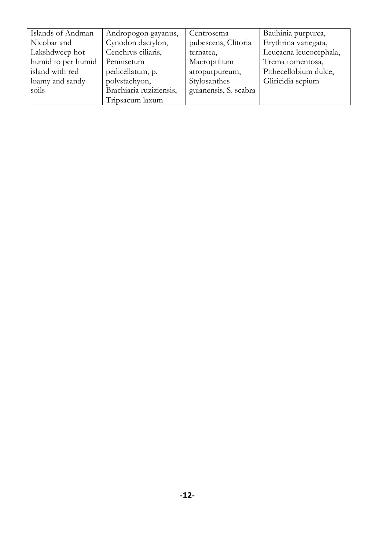| Islands of Andman  | Andropogon gayanus,     | Centrosema            | Bauhinia purpurea,     |
|--------------------|-------------------------|-----------------------|------------------------|
| Nicobar and        | Cynodon dactylon,       | pubescens, Clitoria   | Erythrina variegata,   |
| Lakshdweep hot     | Cenchrus ciliaris,      | ternatea,             | Leucaena leucocephala, |
| humid to per humid | Pennisetum              | Macroptilium          | Trema tomentosa,       |
| island with red    | pedicellatum, p.        | atropurpureum,        | Pithecellobium dulce,  |
| loamy and sandy    | polystachyon,           | Stylosanthes          | Gliricidia sepium      |
| soils              | Brachiaria ruziziensis, | guianensis, S. scabra |                        |
|                    | Tripsacum laxum         |                       |                        |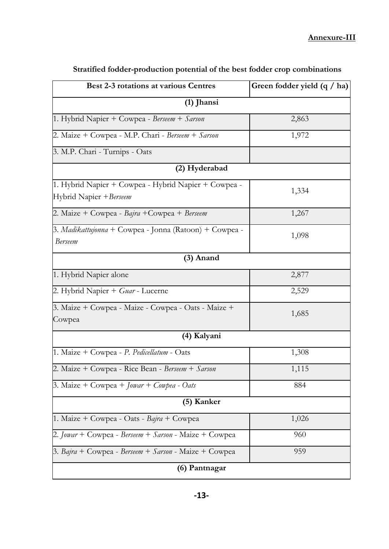| <b>Best 2-3 rotations at various Centres</b>                                    | Green fodder yield $(q / ha)$ |  |  |  |
|---------------------------------------------------------------------------------|-------------------------------|--|--|--|
| $(1)$ Jhansi                                                                    |                               |  |  |  |
| 1. Hybrid Napier + Cowpea - Berseem + Sarson                                    | 2,863                         |  |  |  |
| 2. Maize + Cowpea - M.P. Chari - Berseem + Sarson                               | 1,972                         |  |  |  |
| 3. M.P. Chari - Turnips - Oats                                                  |                               |  |  |  |
| (2) Hyderabad                                                                   |                               |  |  |  |
| 1. Hybrid Napier + Cowpea - Hybrid Napier + Cowpea -<br>Hybrid Napier + Berseem | 1,334                         |  |  |  |
| 2. Maize + Cowpea - Bajra + Cowpea + Berseem                                    | 1,267                         |  |  |  |
| 3. Madikattujonna + Cowpea - Jonna (Ratoon) + Cowpea -<br><b>Berseem</b>        | 1,098                         |  |  |  |
| $(3)$ Anand                                                                     |                               |  |  |  |
| 1. Hybrid Napier alone                                                          | 2,877                         |  |  |  |
| 2. Hybrid Napier + Guar - Lucerne                                               | 2,529                         |  |  |  |
| 3. Maize + Cowpea - Maize - Cowpea - Oats - Maize +<br>Cowpea                   | 1,685                         |  |  |  |
| (4) Kalyani                                                                     |                               |  |  |  |
| 1. Maize + Cowpea - P. Pedicellatum - Oats                                      | 1,308                         |  |  |  |
| 2. Maize + Cowpea - Rice Bean - Berseem + Sarson                                | 1,115                         |  |  |  |
| 3. Maize + Cowpea + $Jowar + Cowpea - Oats$                                     | 884                           |  |  |  |
| (5) Kanker                                                                      |                               |  |  |  |
| 1. Maize + Cowpea - Oats - Bajra + Cowpea                                       | 1,026                         |  |  |  |
| 2. <i>Jowar</i> + Cowpea - <i>Berseem</i> + <i>Sarson</i> - Maize + Cowpea      | 960                           |  |  |  |
| 3. Bajra + Cowpea - Berseem + Sarson - Maize + Cowpea                           | 959                           |  |  |  |
| (6) Pantnagar                                                                   |                               |  |  |  |

**Stratified fodder-production potential of the best fodder crop combinations**